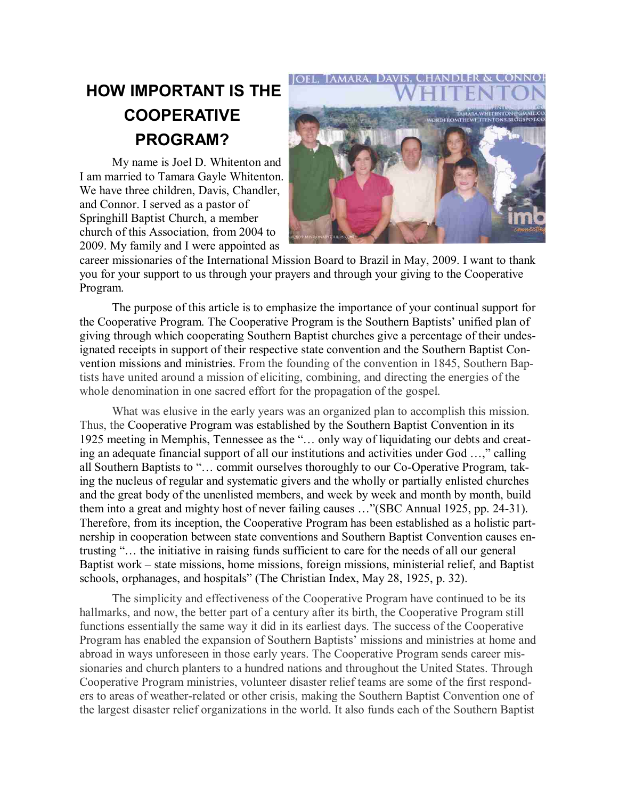## **HOW IMPORTANT IS THE COOPERATIVE PROGRAM?**

My name is Joel D. Whitenton and I am married to Tamara Gayle Whitenton. We have three children, Davis, Chandler, and Connor. I served as a pastor of Springhill Baptist Church, a member church of this Association, from 2004 to 2009. My family and I were appointed as



career missionaries of the International Mission Board to Brazil in May, 2009. I want to thank you for your support to us through your prayers and through your giving to the Cooperative Program.

The purpose of this article is to emphasize the importance of your continual support for the Cooperative Program. The Cooperative Program is the Southern Baptists' unified plan of giving through which cooperating Southern Baptist churches give a percentage of their undesignated receipts in support of their respective state convention and the Southern Baptist Convention missions and ministries. From the founding of the convention in 1845, Southern Baptists have united around a mission of eliciting, combining, and directing the energies of the whole denomination in one sacred effort for the propagation of the gospel.

What was elusive in the early years was an organized plan to accomplish this mission. Thus, the Cooperative Program was established by the Southern Baptist Convention in its 1925 meeting in Memphis, Tennessee as the "… only way of liquidating our debts and creating an adequate financial support of all our institutions and activities under God …," calling all Southern Baptists to "… commit ourselves thoroughly to our Co-Operative Program, taking the nucleus of regular and systematic givers and the wholly or partially enlisted churches and the great body of the unenlisted members, and week by week and month by month, build them into a great and mighty host of never failing causes …"(SBC Annual 1925, pp. 24-31). Therefore, from its inception, the Cooperative Program has been established as a holistic partnership in cooperation between state conventions and Southern Baptist Convention causes entrusting "… the initiative in raising funds sufficient to care for the needs of all our general Baptist work – state missions, home missions, foreign missions, ministerial relief, and Baptist schools, orphanages, and hospitals" (The Christian Index, May 28, 1925, p. 32).

The simplicity and effectiveness of the Cooperative Program have continued to be its hallmarks, and now, the better part of a century after its birth, the Cooperative Program still functions essentially the same way it did in its earliest days. The success of the Cooperative Program has enabled the expansion of Southern Baptists' missions and ministries at home and abroad in ways unforeseen in those early years. The Cooperative Program sends career missionaries and church planters to a hundred nations and throughout the United States. Through Cooperative Program ministries, volunteer disaster relief teams are some of the first responders to areas of weather-related or other crisis, making the Southern Baptist Convention one of the largest disaster relief organizations in the world. It also funds each of the Southern Baptist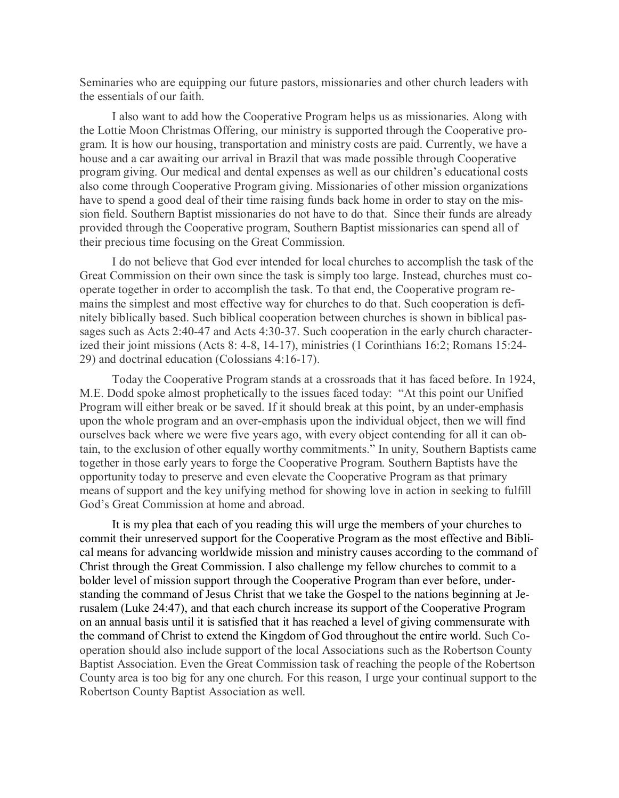Seminaries who are equipping our future pastors, missionaries and other church leaders with the essentials of our faith.

I also want to add how the Cooperative Program helps us as missionaries. Along with the Lottie Moon Christmas Offering, our ministry is supported through the Cooperative program. It is how our housing, transportation and ministry costs are paid. Currently, we have a house and a car awaiting our arrival in Brazil that was made possible through Cooperative program giving. Our medical and dental expenses as well as our children's educational costs also come through Cooperative Program giving. Missionaries of other mission organizations have to spend a good deal of their time raising funds back home in order to stay on the mission field. Southern Baptist missionaries do not have to do that. Since their funds are already provided through the Cooperative program, Southern Baptist missionaries can spend all of their precious time focusing on the Great Commission.

I do not believe that God ever intended for local churches to accomplish the task of the Great Commission on their own since the task is simply too large. Instead, churches must cooperate together in order to accomplish the task. To that end, the Cooperative program remains the simplest and most effective way for churches to do that. Such cooperation is definitely biblically based. Such biblical cooperation between churches is shown in biblical passages such as Acts 2:40-47 and Acts 4:30-37. Such cooperation in the early church characterized their joint missions (Acts 8: 4-8, 14-17), ministries (1 Corinthians 16:2; Romans 15:24- 29) and doctrinal education (Colossians 4:16-17).

Today the Cooperative Program stands at a crossroads that it has faced before. In 1924, M.E. Dodd spoke almost prophetically to the issues faced today: "At this point our Unified Program will either break or be saved. If it should break at this point, by an under-emphasis upon the whole program and an over-emphasis upon the individual object, then we will find ourselves back where we were five years ago, with every object contending for all it can obtain, to the exclusion of other equally worthy commitments." In unity, Southern Baptists came together in those early years to forge the Cooperative Program. Southern Baptists have the opportunity today to preserve and even elevate the Cooperative Program as that primary means of support and the key unifying method for showing love in action in seeking to fulfill God's Great Commission at home and abroad.

It is my plea that each of you reading this will urge the members of your churches to commit their unreserved support for the Cooperative Program as the most effective and Biblical means for advancing worldwide mission and ministry causes according to the command of Christ through the Great Commission. I also challenge my fellow churches to commit to a bolder level of mission support through the Cooperative Program than ever before, understanding the command of Jesus Christ that we take the Gospel to the nations beginning at Jerusalem (Luke 24:47), and that each church increase its support of the Cooperative Program on an annual basis until it is satisfied that it has reached a level of giving commensurate with the command of Christ to extend the Kingdom of God throughout the entire world. Such Cooperation should also include support of the local Associations such as the Robertson County Baptist Association. Even the Great Commission task of reaching the people of the Robertson County area is too big for any one church. For this reason, I urge your continual support to the Robertson County Baptist Association as well.